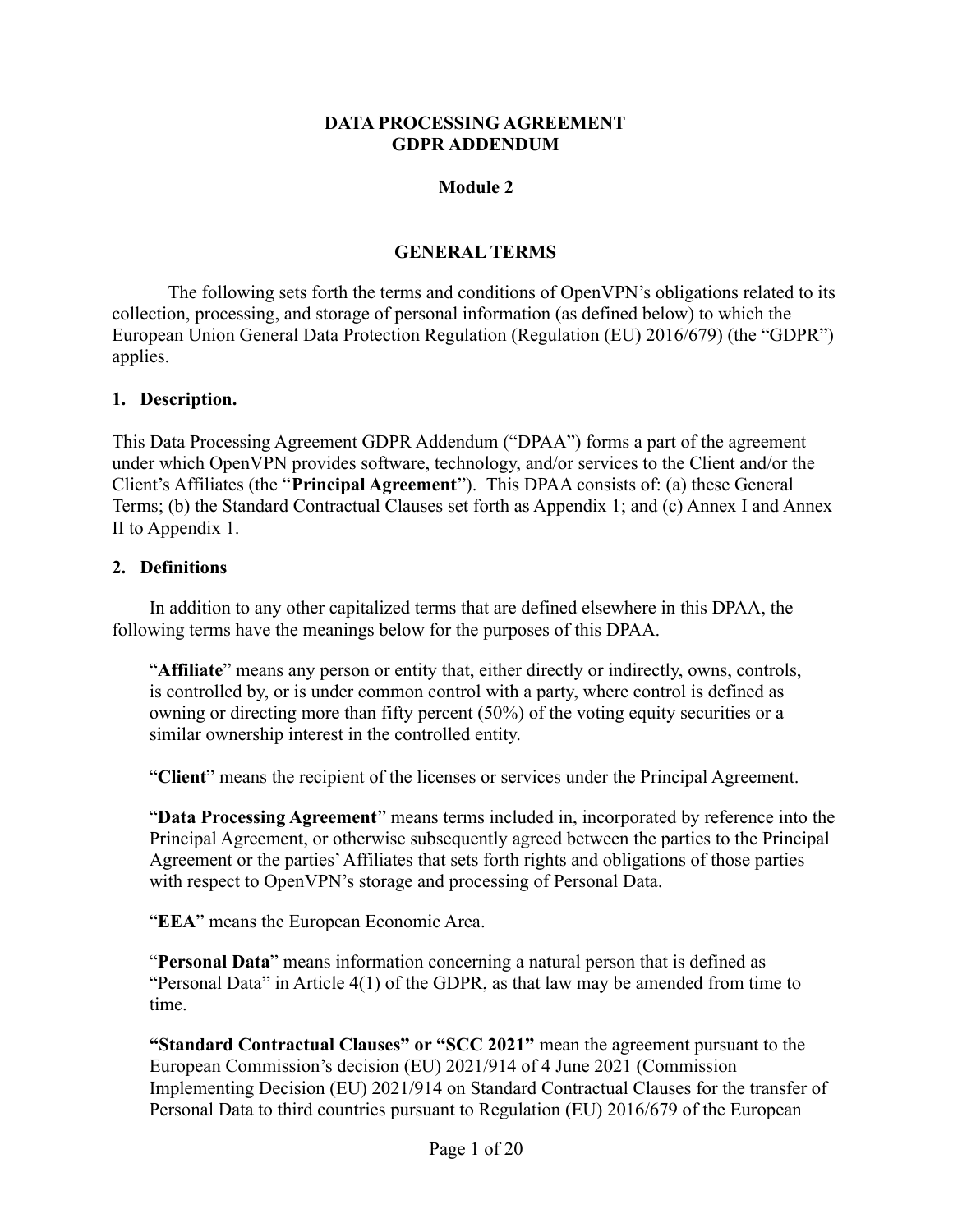### **DATA PROCESSING AGREEMENT GDPR ADDENDUM**

### **Module 2**

### **GENERAL TERMS**

The following sets forth the terms and conditions of OpenVPN's obligations related to its collection, processing, and storage of personal information (as defined below) to which the European Union General Data Protection Regulation (Regulation (EU) 2016/679) (the "GDPR") applies.

### **1. Description.**

This Data Processing Agreement GDPR Addendum ("DPAA") forms a part of the agreement under which OpenVPN provides software, technology, and/or services to the Client and/or the Client's Affiliates (the "**Principal Agreement**"). This DPAA consists of: (a) these General Terms; (b) the Standard Contractual Clauses set forth as Appendix 1; and (c) Annex I and Annex II to Appendix 1.

### **2. Definitions**

In addition to any other capitalized terms that are defined elsewhere in this DPAA, the following terms have the meanings below for the purposes of this DPAA.

"**Affiliate**" means any person or entity that, either directly or indirectly, owns, controls, is controlled by, or is under common control with a party, where control is defined as owning or directing more than fifty percent (50%) of the voting equity securities or a similar ownership interest in the controlled entity.

"**Client**" means the recipient of the licenses or services under the Principal Agreement.

"**Data Processing Agreement**" means terms included in, incorporated by reference into the Principal Agreement, or otherwise subsequently agreed between the parties to the Principal Agreement or the parties'Affiliates that sets forth rights and obligations of those parties with respect to OpenVPN's storage and processing of Personal Data.

"**EEA**" means the European Economic Area.

"**Personal Data**" means information concerning a natural person that is defined as "Personal Data" in Article 4(1) of the GDPR, as that law may be amended from time to time.

**"Standard Contractual Clauses" or "SCC 2021"** mean the agreement pursuant to the European Commission's decision (EU) 2021/914 of 4 June 2021 (Commission Implementing Decision (EU) 2021/914 on Standard Contractual Clauses for the transfer of Personal Data to third countries pursuant to Regulation (EU) 2016/679 of the European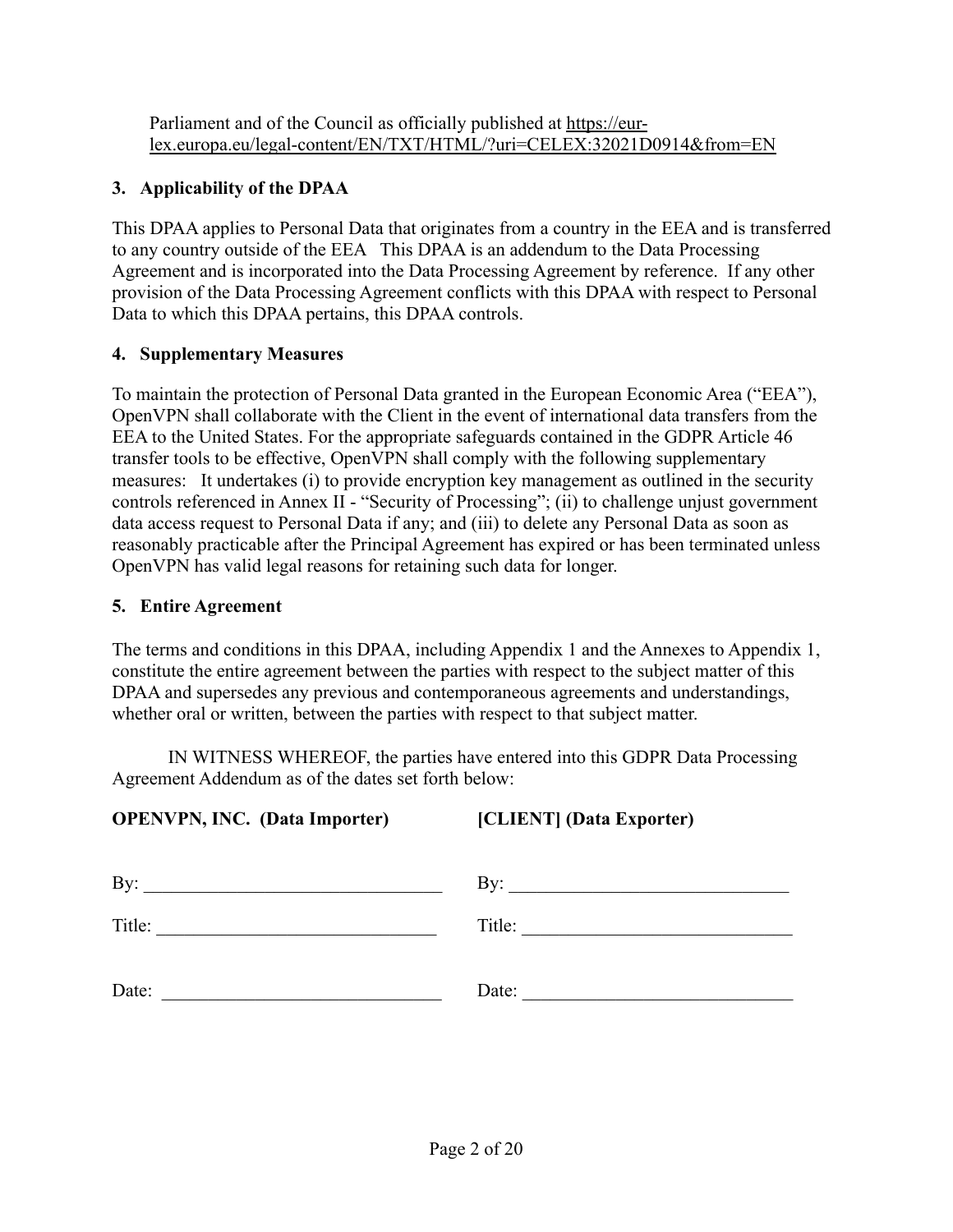Parliament and of the Council as officially published at [https://eur](https://eur-lex.europa.eu/legal-content/EN/TXT/HTML/?uri=CELEX%3A32021D0914&from=EN)[lex.europa.eu/legal-content/EN/TXT/HTML/?uri=CELEX:32021D0914&from=EN](https://eur-lex.europa.eu/legal-content/EN/TXT/HTML/?uri=CELEX%3A32021D0914&from=EN)

# **3. Applicability of the DPAA**

This DPAA applies to Personal Data that originates from a country in the EEA and is transferred to any country outside of the EEA This DPAA is an addendum to the Data Processing Agreement and is incorporated into the Data Processing Agreement by reference. If any other provision of the Data Processing Agreement conflicts with this DPAA with respect to Personal Data to which this DPAA pertains, this DPAA controls.

# **4. Supplementary Measures**

To maintain the protection of Personal Data granted in the European Economic Area ("EEA"), OpenVPN shall collaborate with the Client in the event of international data transfers from the EEA to the United States. For the appropriate safeguards contained in the GDPR Article 46 transfer tools to be effective, OpenVPN shall comply with the following supplementary measures: It undertakes (i) to provide encryption key management as outlined in the security controls referenced in Annex II - "Security of Processing"; (ii) to challenge unjust government data access request to Personal Data if any; and (iii) to delete any Personal Data as soon as reasonably practicable after the Principal Agreement has expired or has been terminated unless OpenVPN has valid legal reasons for retaining such data for longer.

# **5. Entire Agreement**

The terms and conditions in this DPAA, including Appendix 1 and the Annexes to Appendix 1, constitute the entire agreement between the parties with respect to the subject matter of this DPAA and supersedes any previous and contemporaneous agreements and understandings, whether oral or written, between the parties with respect to that subject matter.

IN WITNESS WHEREOF, the parties have entered into this GDPR Data Processing Agreement Addendum as of the dates set forth below:

| <b>OPENVPN, INC. (Data Importer)</b> | [CLIENT] (Data Exporter) |
|--------------------------------------|--------------------------|
| By:                                  |                          |
| Title:                               | Title:                   |
| Date:                                | Date:                    |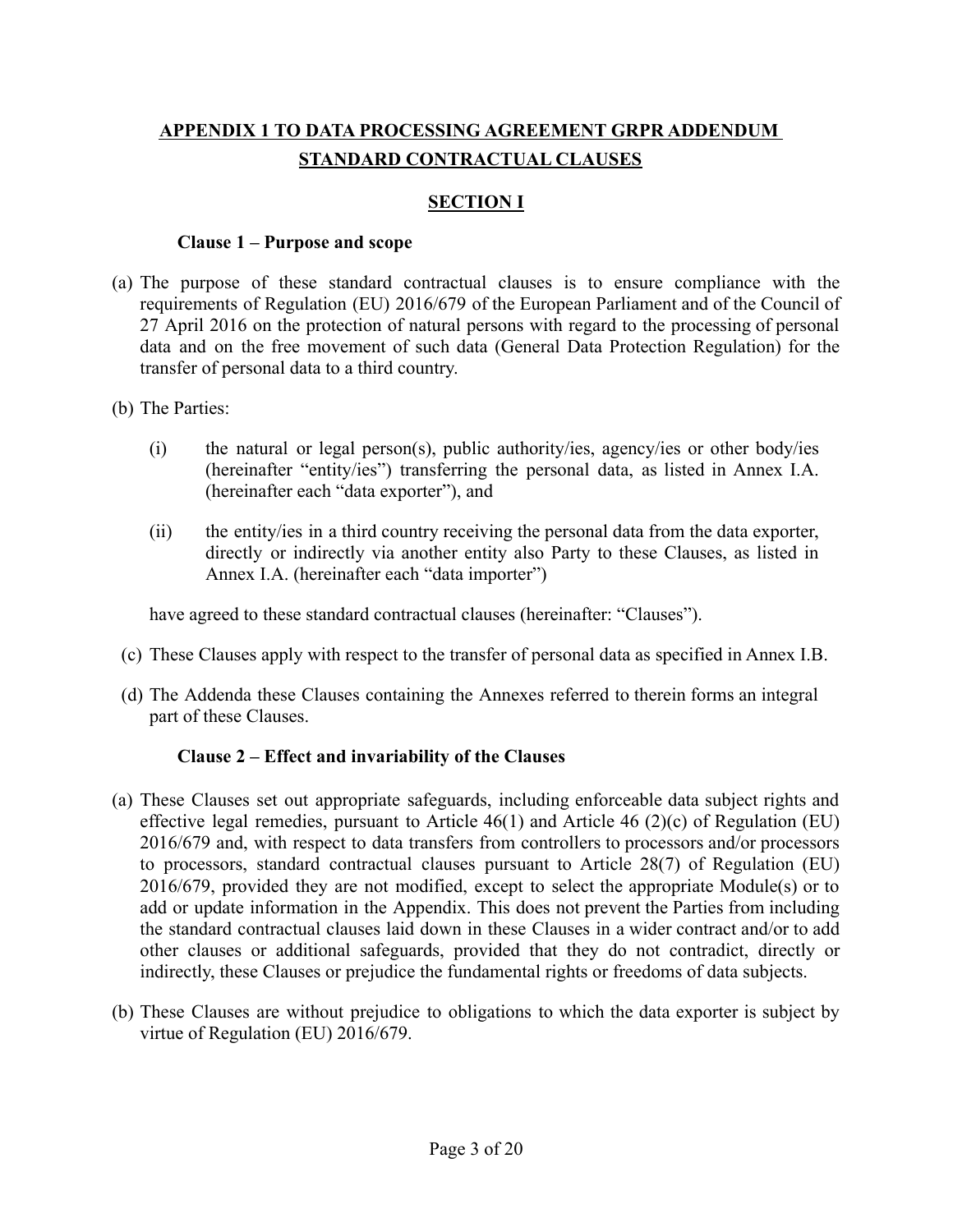# **APPENDIX 1 TO DATA PROCESSING AGREEMENT GRPR ADDENDUM STANDARD CONTRACTUAL CLAUSES**

# **SECTION I**

### **Clause 1 – Purpose and scope**

- (a) The purpose of these standard contractual clauses is to ensure compliance with the requirements of Regulation (EU) 2016/679 of the European Parliament and of the Council of 27 April 2016 on the protection of natural persons with regard to the processing of personal data and on the free movement of such data (General Data Protection Regulation) for the transfer of personal data to a third country.
- (b) The Parties:
	- (i) the natural or legal person(s), public authority/ies, agency/ies or other body/ies (hereinafter "entity/ies") transferring the personal data, as listed in Annex I.A. (hereinafter each "data exporter"), and
	- (ii) the entity/ies in a third country receiving the personal data from the data exporter, directly or indirectly via another entity also Party to these Clauses, as listed in Annex I.A. (hereinafter each "data importer")

have agreed to these standard contractual clauses (hereinafter: "Clauses").

- (c) These Clauses apply with respect to the transfer of personal data as specified in Annex I.B.
- (d) The Addenda these Clauses containing the Annexes referred to therein forms an integral part of these Clauses.

# **Clause 2 – Effect and invariability of the Clauses**

- (a) These Clauses set out appropriate safeguards, including enforceable data subject rights and effective legal remedies, pursuant to Article 46(1) and Article 46 (2)(c) of Regulation (EU) 2016/679 and, with respect to data transfers from controllers to processors and/or processors to processors, standard contractual clauses pursuant to Article 28(7) of Regulation (EU) 2016/679, provided they are not modified, except to select the appropriate Module(s) or to add or update information in the Appendix. This does not prevent the Parties from including the standard contractual clauses laid down in these Clauses in a wider contract and/or to add other clauses or additional safeguards, provided that they do not contradict, directly or indirectly, these Clauses or prejudice the fundamental rights or freedoms of data subjects.
- (b) These Clauses are without prejudice to obligations to which the data exporter is subject by virtue of Regulation (EU) 2016/679.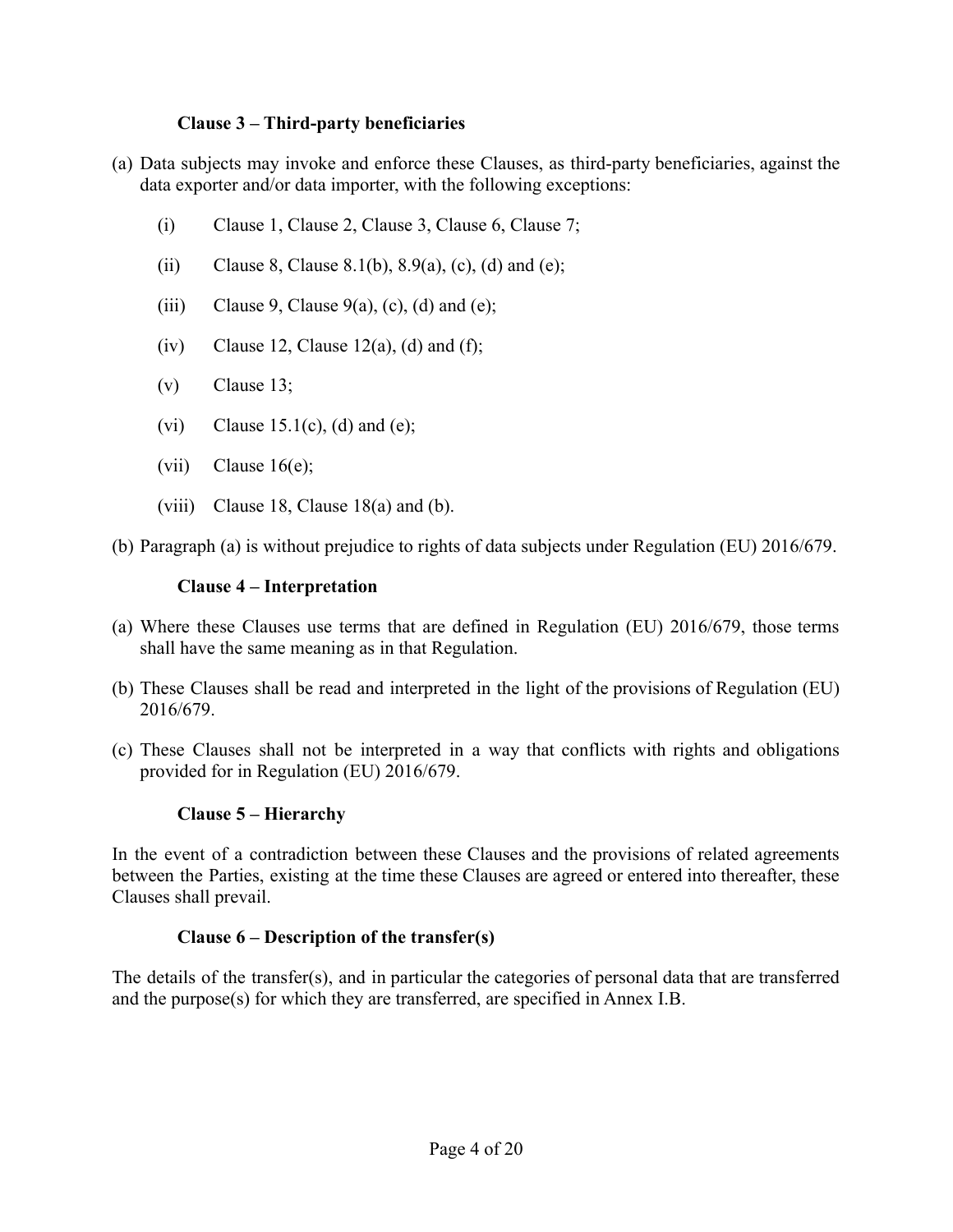### **Clause 3 – Third-party beneficiaries**

- (a) Data subjects may invoke and enforce these Clauses, as third-party beneficiaries, against the data exporter and/or data importer, with the following exceptions:
	- (i) Clause 1, Clause 2, Clause 3, Clause 6, Clause 7;
	- (ii) Clause 8, Clause 8.1(b), 8.9(a), (c), (d) and (e);
	- (iii) Clause 9, Clause 9(a), (c), (d) and (e);
	- (iv) Clause 12, Clause 12(a), (d) and (f);
	- $(v)$  Clause 13;
	- (vi) Clause 15.1(c), (d) and (e);
	- (vii) Clause  $16(e)$ ;
	- (viii) Clause 18, Clause  $18(a)$  and (b).
- (b) Paragraph (a) is without prejudice to rights of data subjects under Regulation (EU) 2016/679.

### **Clause 4 – Interpretation**

- (a) Where these Clauses use terms that are defined in Regulation (EU) 2016/679, those terms shall have the same meaning as in that Regulation.
- (b) These Clauses shall be read and interpreted in the light of the provisions of Regulation (EU) 2016/679.
- (c) These Clauses shall not be interpreted in a way that conflicts with rights and obligations provided for in Regulation (EU) 2016/679.

### **Clause 5 – Hierarchy**

In the event of a contradiction between these Clauses and the provisions of related agreements between the Parties, existing at the time these Clauses are agreed or entered into thereafter, these Clauses shall prevail.

### **Clause 6 – Description of the transfer(s)**

The details of the transfer(s), and in particular the categories of personal data that are transferred and the purpose(s) for which they are transferred, are specified in Annex I.B.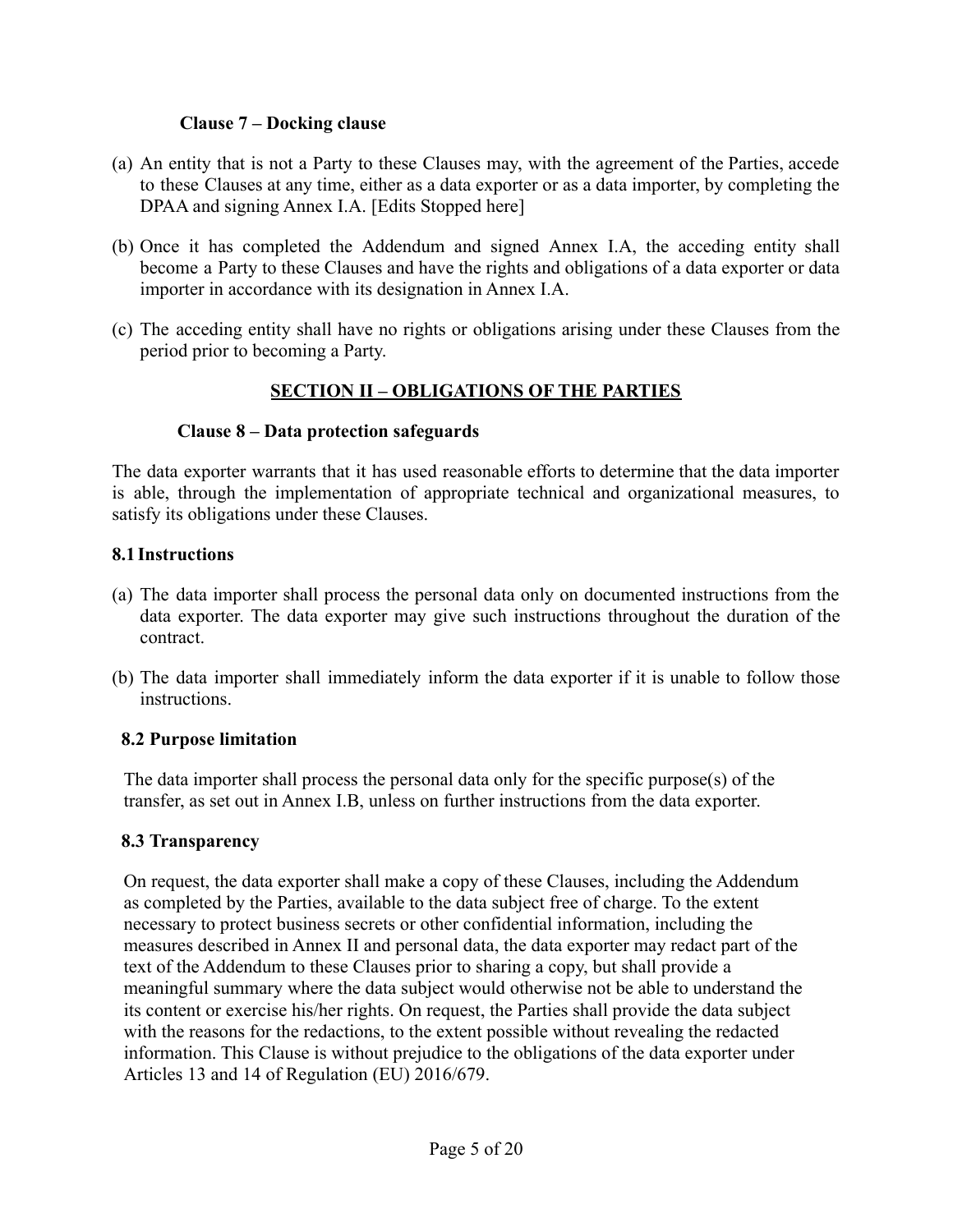### **Clause 7 – Docking clause**

- (a) An entity that is not a Party to these Clauses may, with the agreement of the Parties, accede to these Clauses at any time, either as a data exporter or as a data importer, by completing the DPAA and signing Annex I.A. [Edits Stopped here]
- (b) Once it has completed the Addendum and signed Annex I.A, the acceding entity shall become a Party to these Clauses and have the rights and obligations of a data exporter or data importer in accordance with its designation in Annex I.A.
- (c) The acceding entity shall have no rights or obligations arising under these Clauses from the period prior to becoming a Party.

## **SECTION II – OBLIGATIONS OF THE PARTIES**

### **Clause 8 – Data protection safeguards**

The data exporter warrants that it has used reasonable efforts to determine that the data importer is able, through the implementation of appropriate technical and organizational measures, to satisfy its obligations under these Clauses.

### **8.1Instructions**

- (a) The data importer shall process the personal data only on documented instructions from the data exporter. The data exporter may give such instructions throughout the duration of the contract.
- (b) The data importer shall immediately inform the data exporter if it is unable to follow those instructions.

### **8.2 Purpose limitation**

The data importer shall process the personal data only for the specific purpose(s) of the transfer, as set out in Annex I.B, unless on further instructions from the data exporter.

### **8.3 Transparency**

On request, the data exporter shall make a copy of these Clauses, including the Addendum as completed by the Parties, available to the data subject free of charge. To the extent necessary to protect business secrets or other confidential information, including the measures described in Annex II and personal data, the data exporter may redact part of the text of the Addendum to these Clauses prior to sharing a copy, but shall provide a meaningful summary where the data subject would otherwise not be able to understand the its content or exercise his/her rights. On request, the Parties shall provide the data subject with the reasons for the redactions, to the extent possible without revealing the redacted information. This Clause is without prejudice to the obligations of the data exporter under Articles 13 and 14 of Regulation (EU) 2016/679.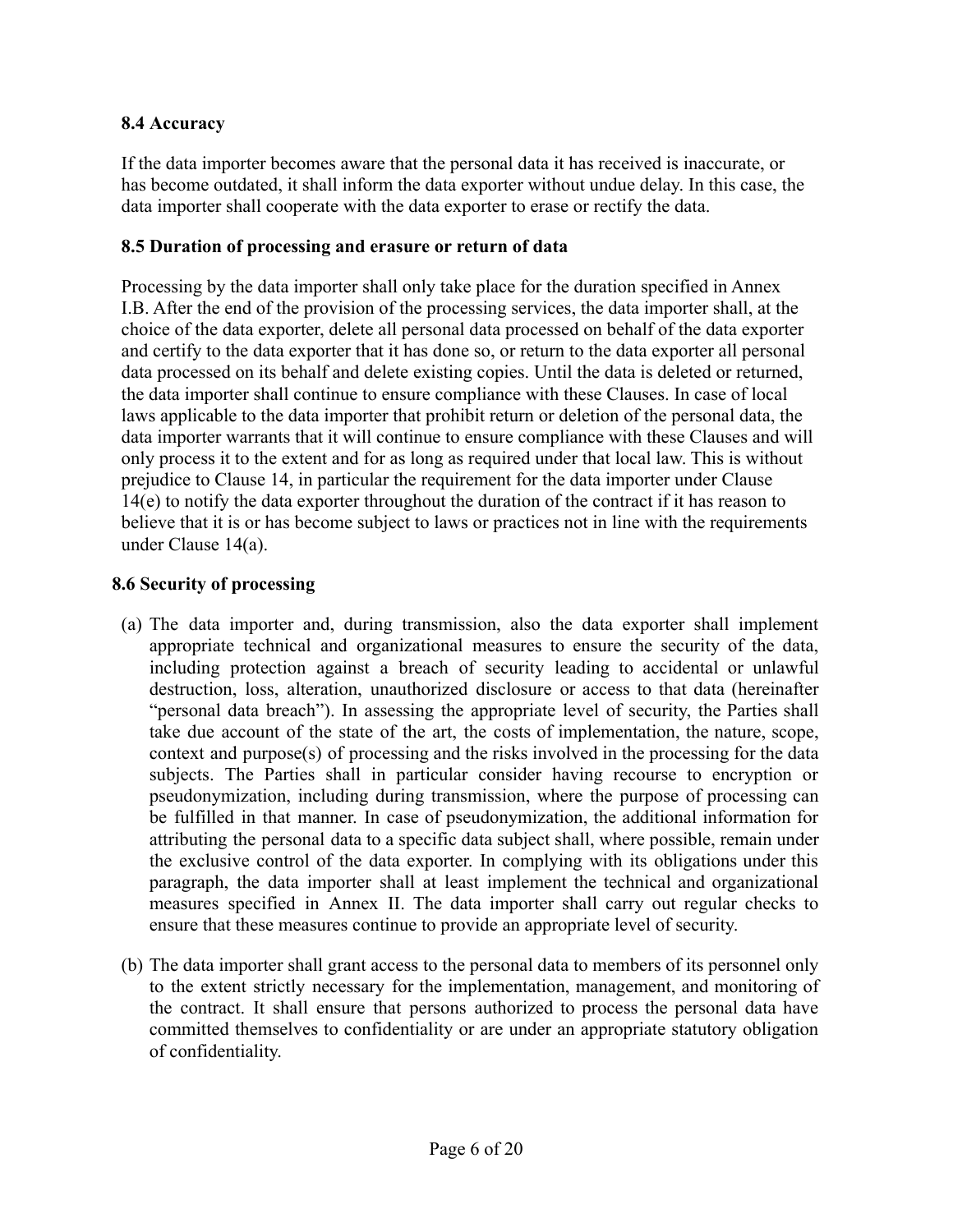# **8.4 Accuracy**

If the data importer becomes aware that the personal data it has received is inaccurate, or has become outdated, it shall inform the data exporter without undue delay. In this case, the data importer shall cooperate with the data exporter to erase or rectify the data.

### **8.5 Duration of processing and erasure or return of data**

Processing by the data importer shall only take place for the duration specified in Annex I.B. After the end of the provision of the processing services, the data importer shall, at the choice of the data exporter, delete all personal data processed on behalf of the data exporter and certify to the data exporter that it has done so, or return to the data exporter all personal data processed on its behalf and delete existing copies. Until the data is deleted or returned, the data importer shall continue to ensure compliance with these Clauses. In case of local laws applicable to the data importer that prohibit return or deletion of the personal data, the data importer warrants that it will continue to ensure compliance with these Clauses and will only process it to the extent and for as long as required under that local law. This is without prejudice to Clause 14, in particular the requirement for the data importer under Clause 14(e) to notify the data exporter throughout the duration of the contract if it has reason to believe that it is or has become subject to laws or practices not in line with the requirements under Clause 14(a).

### **8.6 Security of processing**

- (a) The data importer and, during transmission, also the data exporter shall implement appropriate technical and organizational measures to ensure the security of the data, including protection against a breach of security leading to accidental or unlawful destruction, loss, alteration, unauthorized disclosure or access to that data (hereinafter "personal data breach"). In assessing the appropriate level of security, the Parties shall take due account of the state of the art, the costs of implementation, the nature, scope, context and purpose(s) of processing and the risks involved in the processing for the data subjects. The Parties shall in particular consider having recourse to encryption or pseudonymization, including during transmission, where the purpose of processing can be fulfilled in that manner. In case of pseudonymization, the additional information for attributing the personal data to a specific data subject shall, where possible, remain under the exclusive control of the data exporter. In complying with its obligations under this paragraph, the data importer shall at least implement the technical and organizational measures specified in Annex II. The data importer shall carry out regular checks to ensure that these measures continue to provide an appropriate level of security.
- (b) The data importer shall grant access to the personal data to members of its personnel only to the extent strictly necessary for the implementation, management, and monitoring of the contract. It shall ensure that persons authorized to process the personal data have committed themselves to confidentiality or are under an appropriate statutory obligation of confidentiality.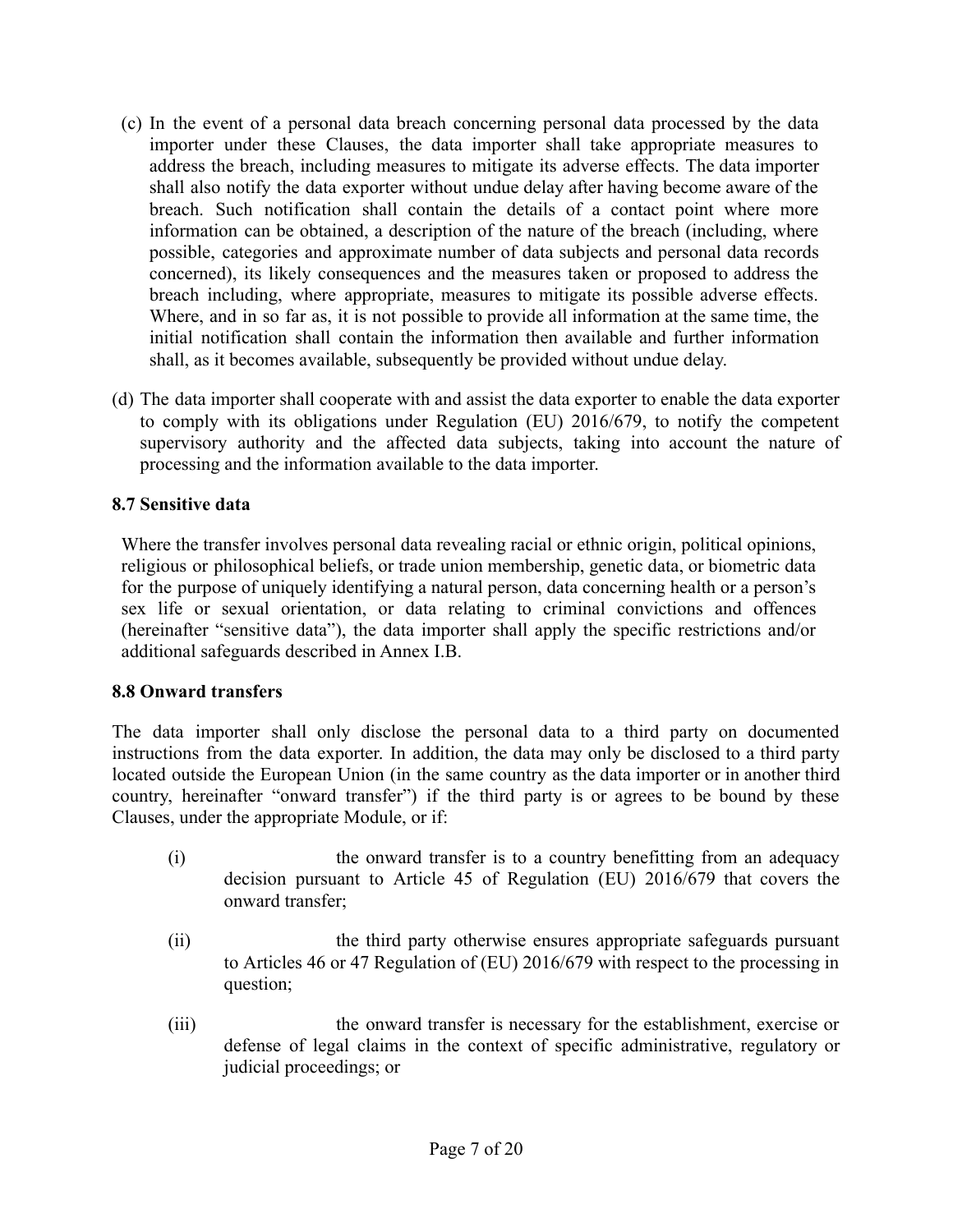- (c) In the event of a personal data breach concerning personal data processed by the data importer under these Clauses, the data importer shall take appropriate measures to address the breach, including measures to mitigate its adverse effects. The data importer shall also notify the data exporter without undue delay after having become aware of the breach. Such notification shall contain the details of a contact point where more information can be obtained, a description of the nature of the breach (including, where possible, categories and approximate number of data subjects and personal data records concerned), its likely consequences and the measures taken or proposed to address the breach including, where appropriate, measures to mitigate its possible adverse effects. Where, and in so far as, it is not possible to provide all information at the same time, the initial notification shall contain the information then available and further information shall, as it becomes available, subsequently be provided without undue delay.
- (d) The data importer shall cooperate with and assist the data exporter to enable the data exporter to comply with its obligations under Regulation (EU) 2016/679, to notify the competent supervisory authority and the affected data subjects, taking into account the nature of processing and the information available to the data importer.

# **8.7 Sensitive data**

Where the transfer involves personal data revealing racial or ethnic origin, political opinions, religious or philosophical beliefs, or trade union membership, genetic data, or biometric data for the purpose of uniquely identifying a natural person, data concerning health or a person's sex life or sexual orientation, or data relating to criminal convictions and offences (hereinafter "sensitive data"), the data importer shall apply the specific restrictions and/or additional safeguards described in Annex I.B.

# **8.8 Onward transfers**

The data importer shall only disclose the personal data to a third party on documented instructions from the data exporter. In addition, the data may only be disclosed to a third party located outside the European Union (in the same country as the data importer or in another third country, hereinafter "onward transfer") if the third party is or agrees to be bound by these Clauses, under the appropriate Module, or if:

- (i) the onward transfer is to a country benefitting from an adequacy decision pursuant to Article 45 of Regulation (EU) 2016/679 that covers the onward transfer;
- (ii) the third party otherwise ensures appropriate safeguards pursuant to Articles 46 or 47 Regulation of (EU) 2016/679 with respect to the processing in question;
- (iii) the onward transfer is necessary for the establishment, exercise or defense of legal claims in the context of specific administrative, regulatory or judicial proceedings; or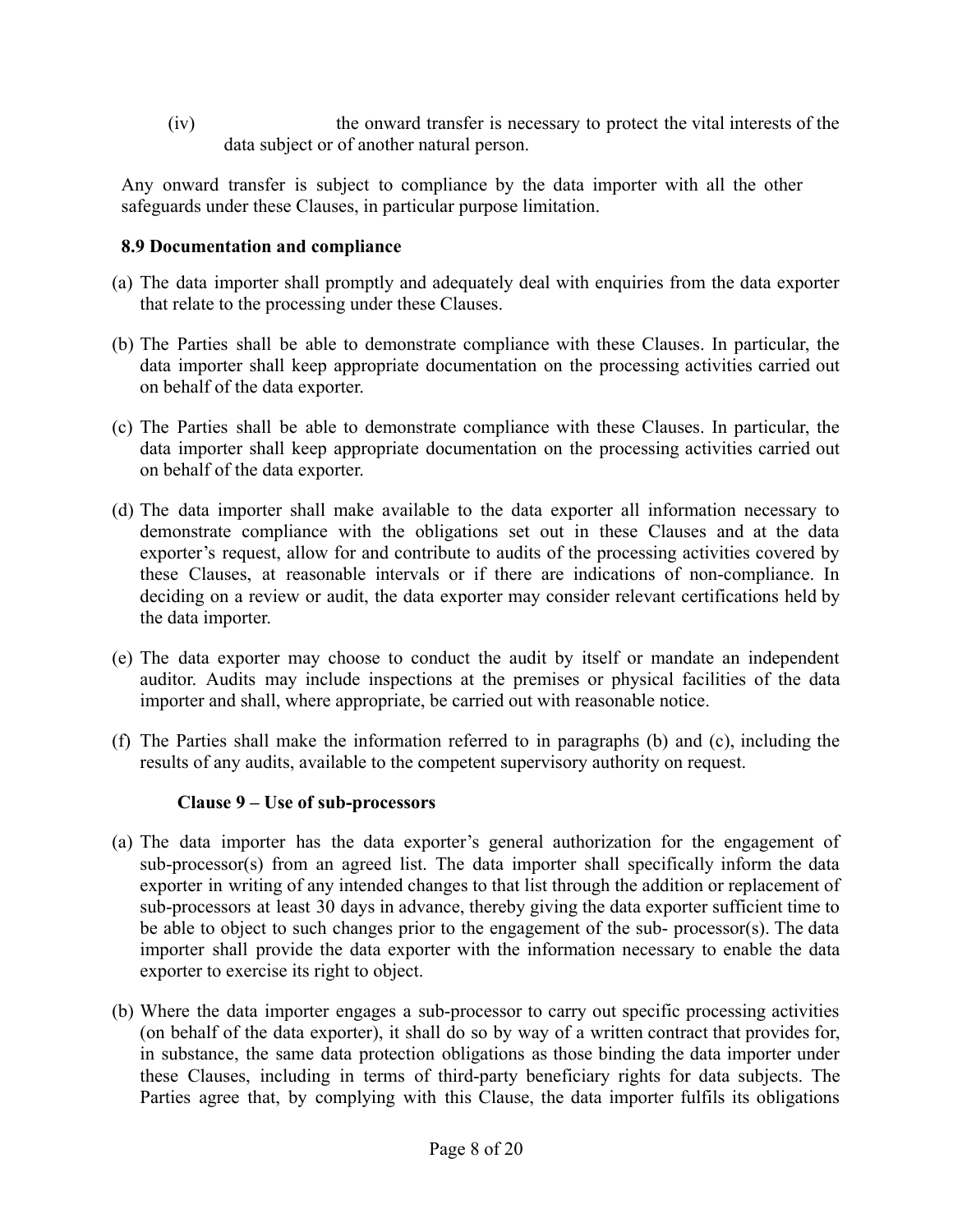(iv) the onward transfer is necessary to protect the vital interests of the data subject or of another natural person.

Any onward transfer is subject to compliance by the data importer with all the other safeguards under these Clauses, in particular purpose limitation.

### **8.9 Documentation and compliance**

- (a) The data importer shall promptly and adequately deal with enquiries from the data exporter that relate to the processing under these Clauses.
- (b) The Parties shall be able to demonstrate compliance with these Clauses. In particular, the data importer shall keep appropriate documentation on the processing activities carried out on behalf of the data exporter.
- (c) The Parties shall be able to demonstrate compliance with these Clauses. In particular, the data importer shall keep appropriate documentation on the processing activities carried out on behalf of the data exporter.
- (d) The data importer shall make available to the data exporter all information necessary to demonstrate compliance with the obligations set out in these Clauses and at the data exporter's request, allow for and contribute to audits of the processing activities covered by these Clauses, at reasonable intervals or if there are indications of non-compliance. In deciding on a review or audit, the data exporter may consider relevant certifications held by the data importer.
- (e) The data exporter may choose to conduct the audit by itself or mandate an independent auditor. Audits may include inspections at the premises or physical facilities of the data importer and shall, where appropriate, be carried out with reasonable notice.
- (f) The Parties shall make the information referred to in paragraphs (b) and (c), including the results of any audits, available to the competent supervisory authority on request.

### **Clause 9 – Use of sub-processors**

- (a) The data importer has the data exporter's general authorization for the engagement of sub-processor(s) from an agreed list. The data importer shall specifically inform the data exporter in writing of any intended changes to that list through the addition or replacement of sub-processors at least 30 days in advance, thereby giving the data exporter sufficient time to be able to object to such changes prior to the engagement of the sub- processor(s). The data importer shall provide the data exporter with the information necessary to enable the data exporter to exercise its right to object.
- (b) Where the data importer engages a sub-processor to carry out specific processing activities (on behalf of the data exporter), it shall do so by way of a written contract that provides for, in substance, the same data protection obligations as those binding the data importer under these Clauses, including in terms of third-party beneficiary rights for data subjects. The Parties agree that, by complying with this Clause, the data importer fulfils its obligations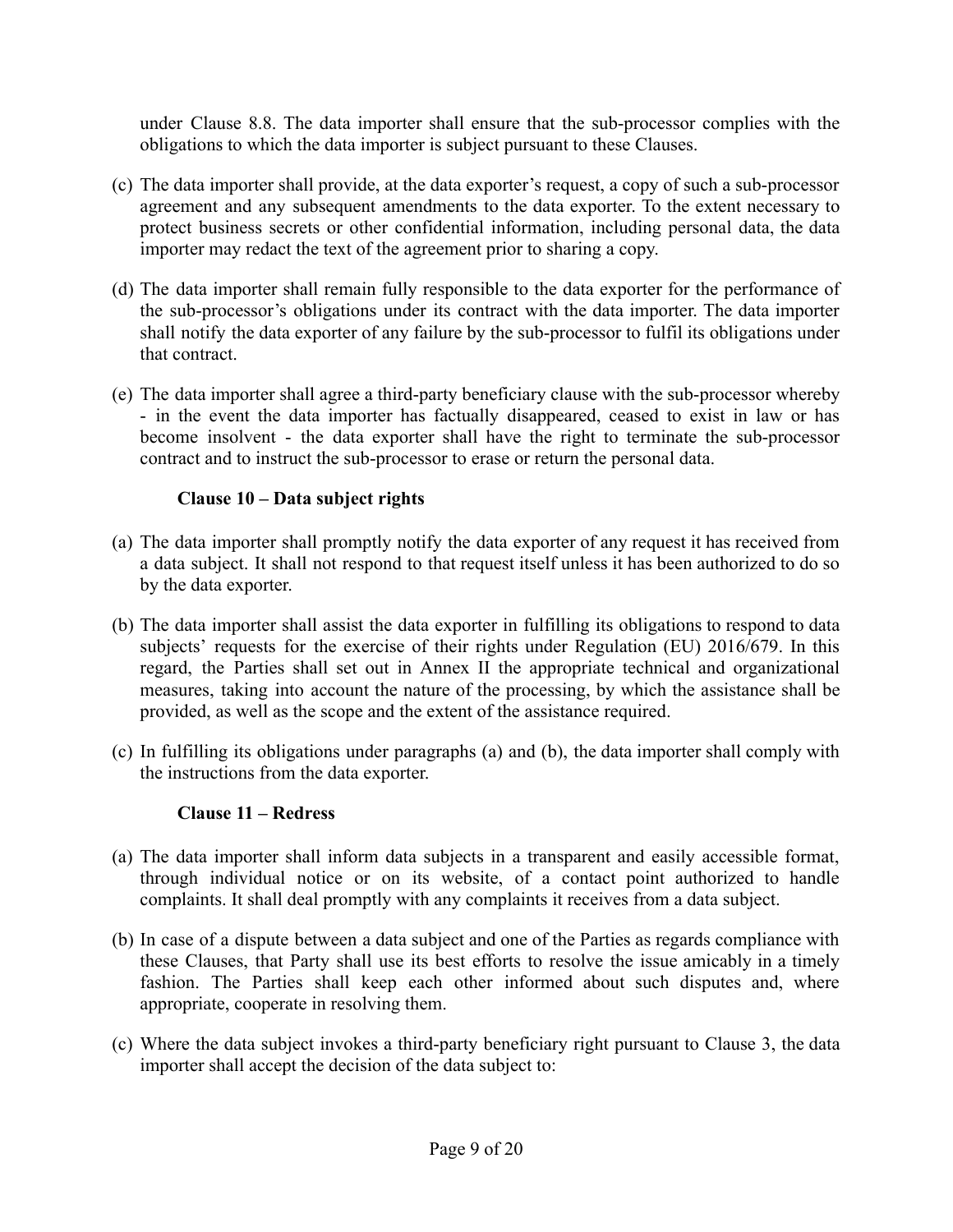under Clause 8.8. The data importer shall ensure that the sub-processor complies with the obligations to which the data importer is subject pursuant to these Clauses.

- (c) The data importer shall provide, at the data exporter's request, a copy of such a sub-processor agreement and any subsequent amendments to the data exporter. To the extent necessary to protect business secrets or other confidential information, including personal data, the data importer may redact the text of the agreement prior to sharing a copy.
- (d) The data importer shall remain fully responsible to the data exporter for the performance of the sub-processor's obligations under its contract with the data importer. The data importer shall notify the data exporter of any failure by the sub-processor to fulfil its obligations under that contract.
- (e) The data importer shall agree a third-party beneficiary clause with the sub-processor whereby - in the event the data importer has factually disappeared, ceased to exist in law or has become insolvent - the data exporter shall have the right to terminate the sub-processor contract and to instruct the sub-processor to erase or return the personal data.

# **Clause 10 – Data subject rights**

- (a) The data importer shall promptly notify the data exporter of any request it has received from a data subject. It shall not respond to that request itself unless it has been authorized to do so by the data exporter.
- (b) The data importer shall assist the data exporter in fulfilling its obligations to respond to data subjects' requests for the exercise of their rights under Regulation (EU) 2016/679. In this regard, the Parties shall set out in Annex II the appropriate technical and organizational measures, taking into account the nature of the processing, by which the assistance shall be provided, as well as the scope and the extent of the assistance required.
- (c) In fulfilling its obligations under paragraphs (a) and (b), the data importer shall comply with the instructions from the data exporter.

### **Clause 11 – Redress**

- (a) The data importer shall inform data subjects in a transparent and easily accessible format, through individual notice or on its website, of a contact point authorized to handle complaints. It shall deal promptly with any complaints it receives from a data subject.
- (b) In case of a dispute between a data subject and one of the Parties as regards compliance with these Clauses, that Party shall use its best efforts to resolve the issue amicably in a timely fashion. The Parties shall keep each other informed about such disputes and, where appropriate, cooperate in resolving them.
- (c) Where the data subject invokes a third-party beneficiary right pursuant to Clause 3, the data importer shall accept the decision of the data subject to: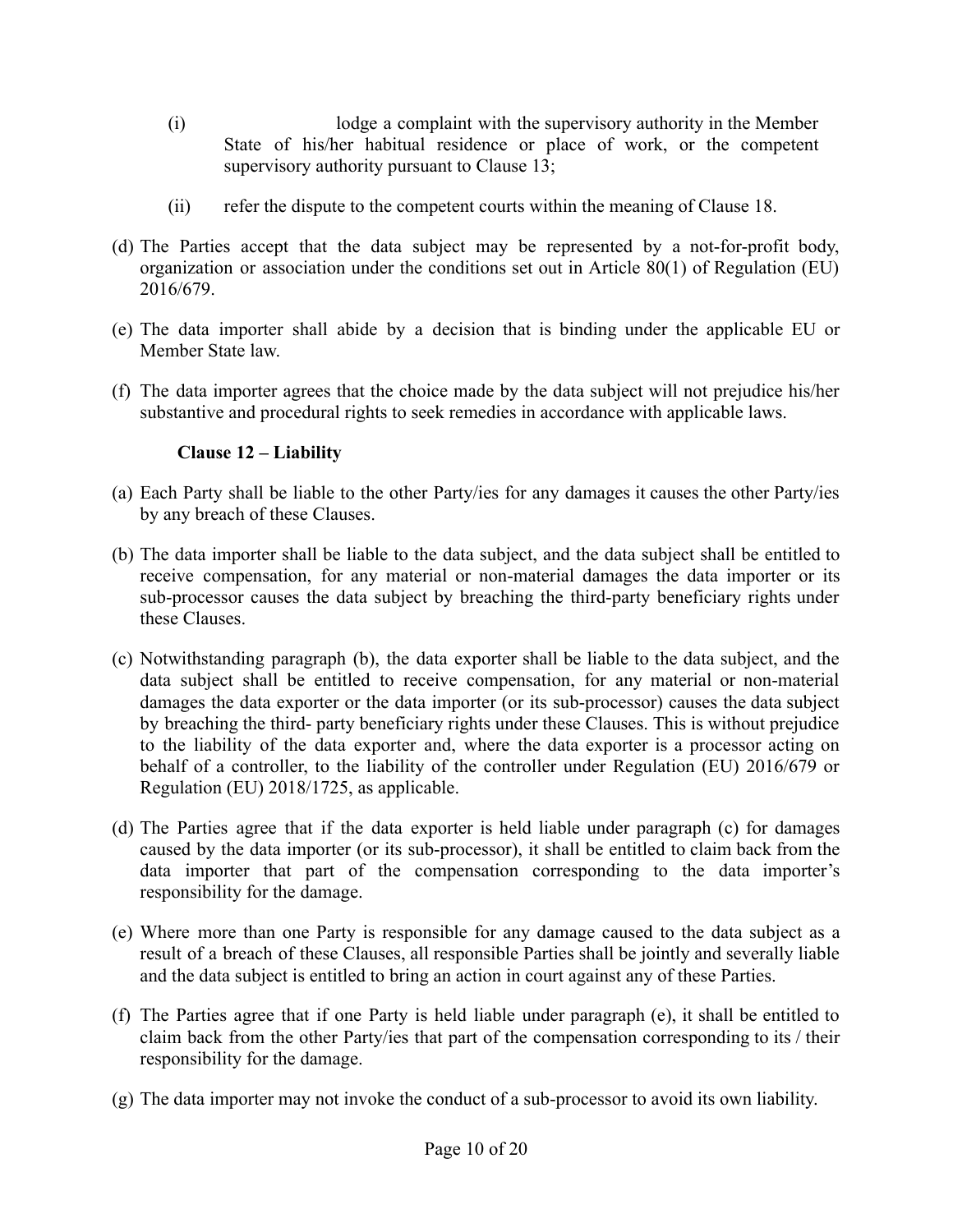- (i) lodge a complaint with the supervisory authority in the Member State of his/her habitual residence or place of work, or the competent supervisory authority pursuant to Clause 13;
- (ii) refer the dispute to the competent courts within the meaning of Clause 18.
- (d) The Parties accept that the data subject may be represented by a not-for-profit body, organization or association under the conditions set out in Article 80(1) of Regulation (EU) 2016/679.
- (e) The data importer shall abide by a decision that is binding under the applicable EU or Member State law.
- (f) The data importer agrees that the choice made by the data subject will not prejudice his/her substantive and procedural rights to seek remedies in accordance with applicable laws.

# **Clause 12 – Liability**

- (a) Each Party shall be liable to the other Party/ies for any damages it causes the other Party/ies by any breach of these Clauses.
- (b) The data importer shall be liable to the data subject, and the data subject shall be entitled to receive compensation, for any material or non-material damages the data importer or its sub-processor causes the data subject by breaching the third-party beneficiary rights under these Clauses.
- (c) Notwithstanding paragraph (b), the data exporter shall be liable to the data subject, and the data subject shall be entitled to receive compensation, for any material or non-material damages the data exporter or the data importer (or its sub-processor) causes the data subject by breaching the third- party beneficiary rights under these Clauses. This is without prejudice to the liability of the data exporter and, where the data exporter is a processor acting on behalf of a controller, to the liability of the controller under Regulation (EU) 2016/679 or Regulation (EU) 2018/1725, as applicable.
- (d) The Parties agree that if the data exporter is held liable under paragraph (c) for damages caused by the data importer (or its sub-processor), it shall be entitled to claim back from the data importer that part of the compensation corresponding to the data importer's responsibility for the damage.
- (e) Where more than one Party is responsible for any damage caused to the data subject as a result of a breach of these Clauses, all responsible Parties shall be jointly and severally liable and the data subject is entitled to bring an action in court against any of these Parties.
- (f) The Parties agree that if one Party is held liable under paragraph (e), it shall be entitled to claim back from the other Party/ies that part of the compensation corresponding to its / their responsibility for the damage.
- (g) The data importer may not invoke the conduct of a sub-processor to avoid its own liability.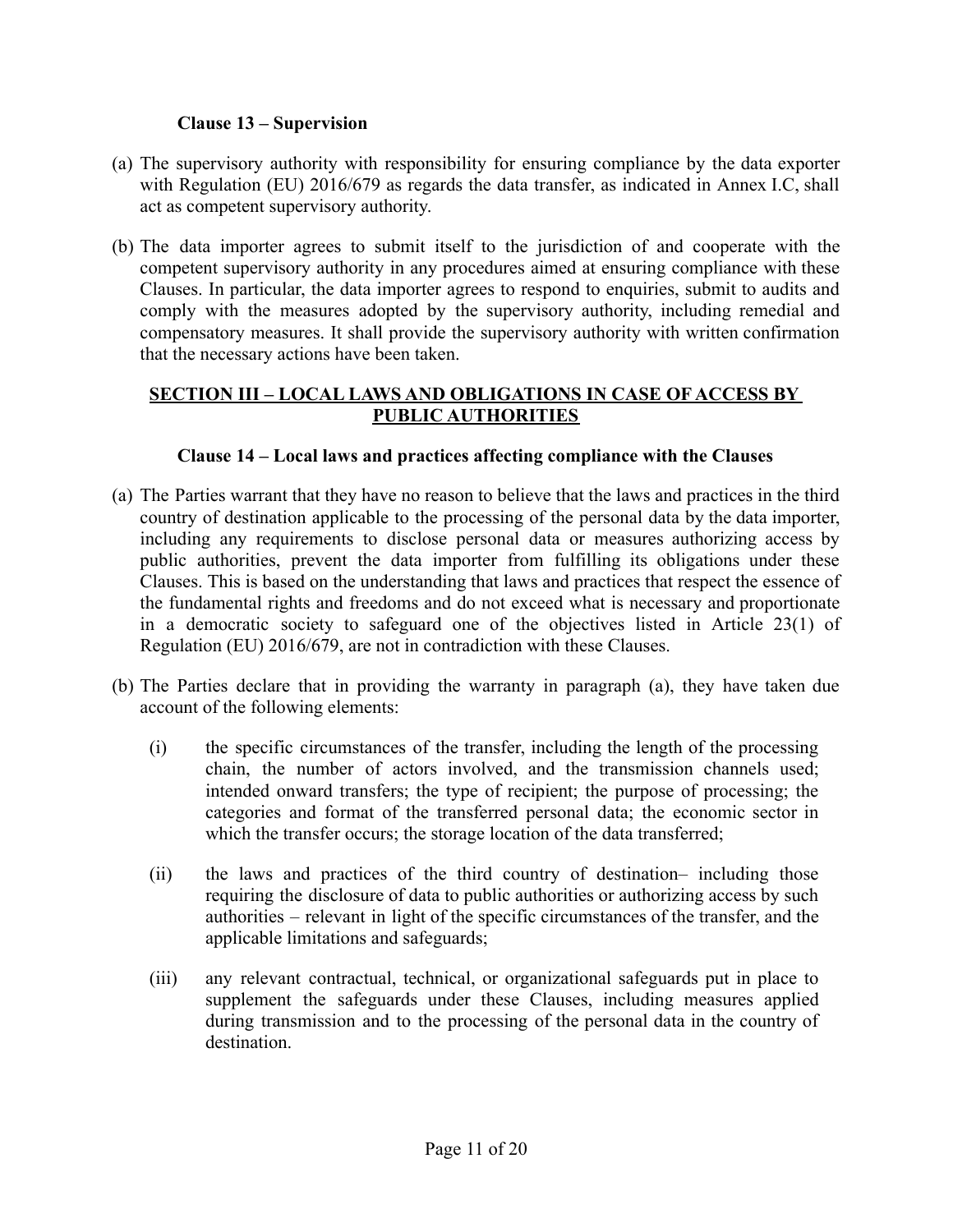### **Clause 13 – Supervision**

- (a) The supervisory authority with responsibility for ensuring compliance by the data exporter with Regulation (EU) 2016/679 as regards the data transfer, as indicated in Annex I.C, shall act as competent supervisory authority.
- (b) The data importer agrees to submit itself to the jurisdiction of and cooperate with the competent supervisory authority in any procedures aimed at ensuring compliance with these Clauses. In particular, the data importer agrees to respond to enquiries, submit to audits and comply with the measures adopted by the supervisory authority, including remedial and compensatory measures. It shall provide the supervisory authority with written confirmation that the necessary actions have been taken.

## **SECTION III – LOCAL LAWS AND OBLIGATIONS IN CASE OF ACCESS BY PUBLIC AUTHORITIES**

## **Clause 14 – Local laws and practices affecting compliance with the Clauses**

- (a) The Parties warrant that they have no reason to believe that the laws and practices in the third country of destination applicable to the processing of the personal data by the data importer, including any requirements to disclose personal data or measures authorizing access by public authorities, prevent the data importer from fulfilling its obligations under these Clauses. This is based on the understanding that laws and practices that respect the essence of the fundamental rights and freedoms and do not exceed what is necessary and proportionate in a democratic society to safeguard one of the objectives listed in Article 23(1) of Regulation (EU) 2016/679, are not in contradiction with these Clauses.
- (b) The Parties declare that in providing the warranty in paragraph (a), they have taken due account of the following elements:
	- (i) the specific circumstances of the transfer, including the length of the processing chain, the number of actors involved, and the transmission channels used; intended onward transfers; the type of recipient; the purpose of processing; the categories and format of the transferred personal data; the economic sector in which the transfer occurs; the storage location of the data transferred;
	- (ii) the laws and practices of the third country of destination– including those requiring the disclosure of data to public authorities or authorizing access by such authorities – relevant in light of the specific circumstances of the transfer, and the applicable limitations and safeguards;
	- (iii) any relevant contractual, technical, or organizational safeguards put in place to supplement the safeguards under these Clauses, including measures applied during transmission and to the processing of the personal data in the country of destination.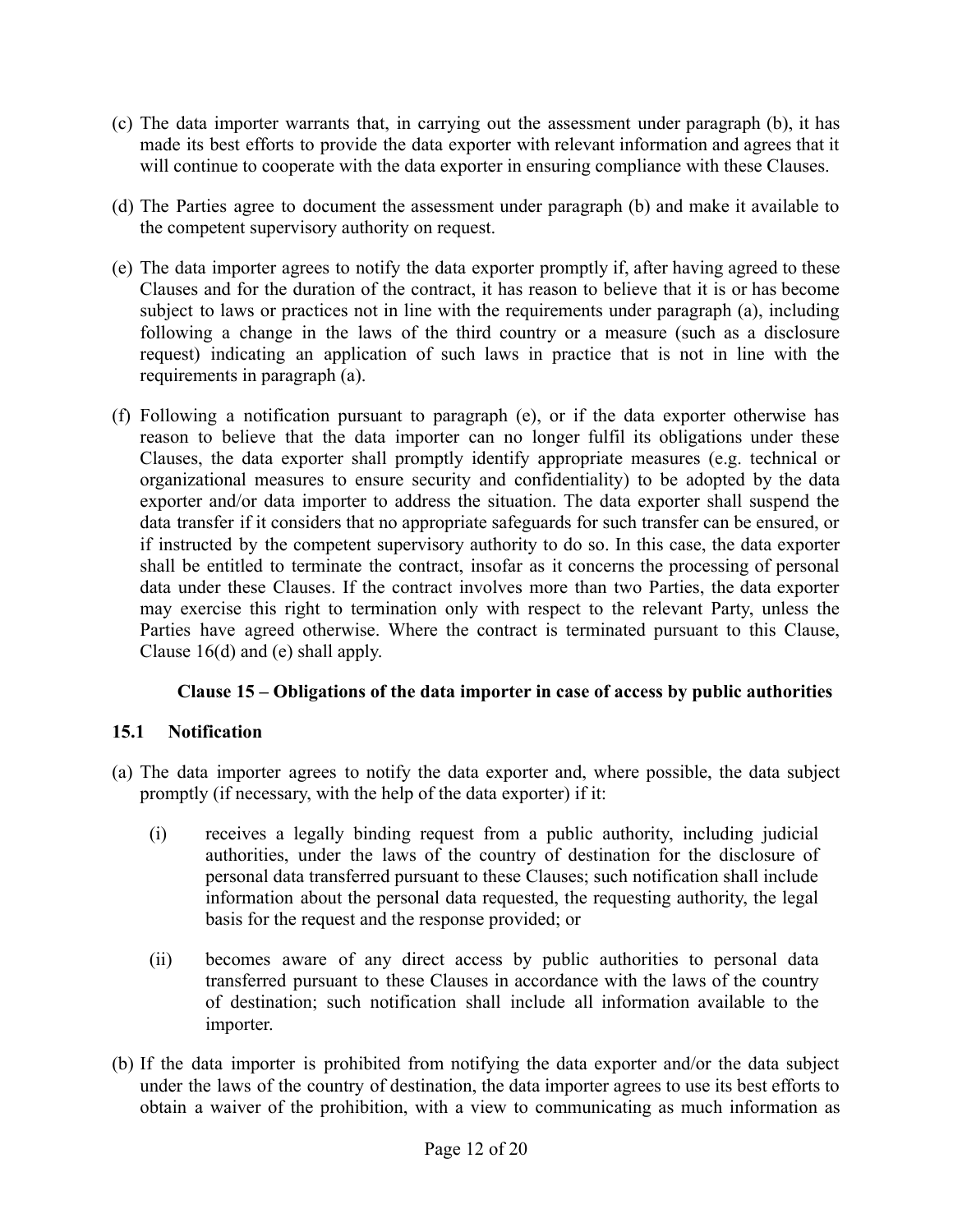- (c) The data importer warrants that, in carrying out the assessment under paragraph (b), it has made its best efforts to provide the data exporter with relevant information and agrees that it will continue to cooperate with the data exporter in ensuring compliance with these Clauses.
- (d) The Parties agree to document the assessment under paragraph (b) and make it available to the competent supervisory authority on request.
- (e) The data importer agrees to notify the data exporter promptly if, after having agreed to these Clauses and for the duration of the contract, it has reason to believe that it is or has become subject to laws or practices not in line with the requirements under paragraph (a), including following a change in the laws of the third country or a measure (such as a disclosure request) indicating an application of such laws in practice that is not in line with the requirements in paragraph (a).
- (f) Following a notification pursuant to paragraph (e), or if the data exporter otherwise has reason to believe that the data importer can no longer fulfil its obligations under these Clauses, the data exporter shall promptly identify appropriate measures (e.g. technical or organizational measures to ensure security and confidentiality) to be adopted by the data exporter and/or data importer to address the situation. The data exporter shall suspend the data transfer if it considers that no appropriate safeguards for such transfer can be ensured, or if instructed by the competent supervisory authority to do so. In this case, the data exporter shall be entitled to terminate the contract, insofar as it concerns the processing of personal data under these Clauses. If the contract involves more than two Parties, the data exporter may exercise this right to termination only with respect to the relevant Party, unless the Parties have agreed otherwise. Where the contract is terminated pursuant to this Clause, Clause 16(d) and (e) shall apply.

# **Clause 15 – Obligations of the data importer in case of access by public authorities**

### **15.1 Notification**

- (a) The data importer agrees to notify the data exporter and, where possible, the data subject promptly (if necessary, with the help of the data exporter) if it:
	- (i) receives a legally binding request from a public authority, including judicial authorities, under the laws of the country of destination for the disclosure of personal data transferred pursuant to these Clauses; such notification shall include information about the personal data requested, the requesting authority, the legal basis for the request and the response provided; or
	- (ii) becomes aware of any direct access by public authorities to personal data transferred pursuant to these Clauses in accordance with the laws of the country of destination; such notification shall include all information available to the importer.
- (b) If the data importer is prohibited from notifying the data exporter and/or the data subject under the laws of the country of destination, the data importer agrees to use its best efforts to obtain a waiver of the prohibition, with a view to communicating as much information as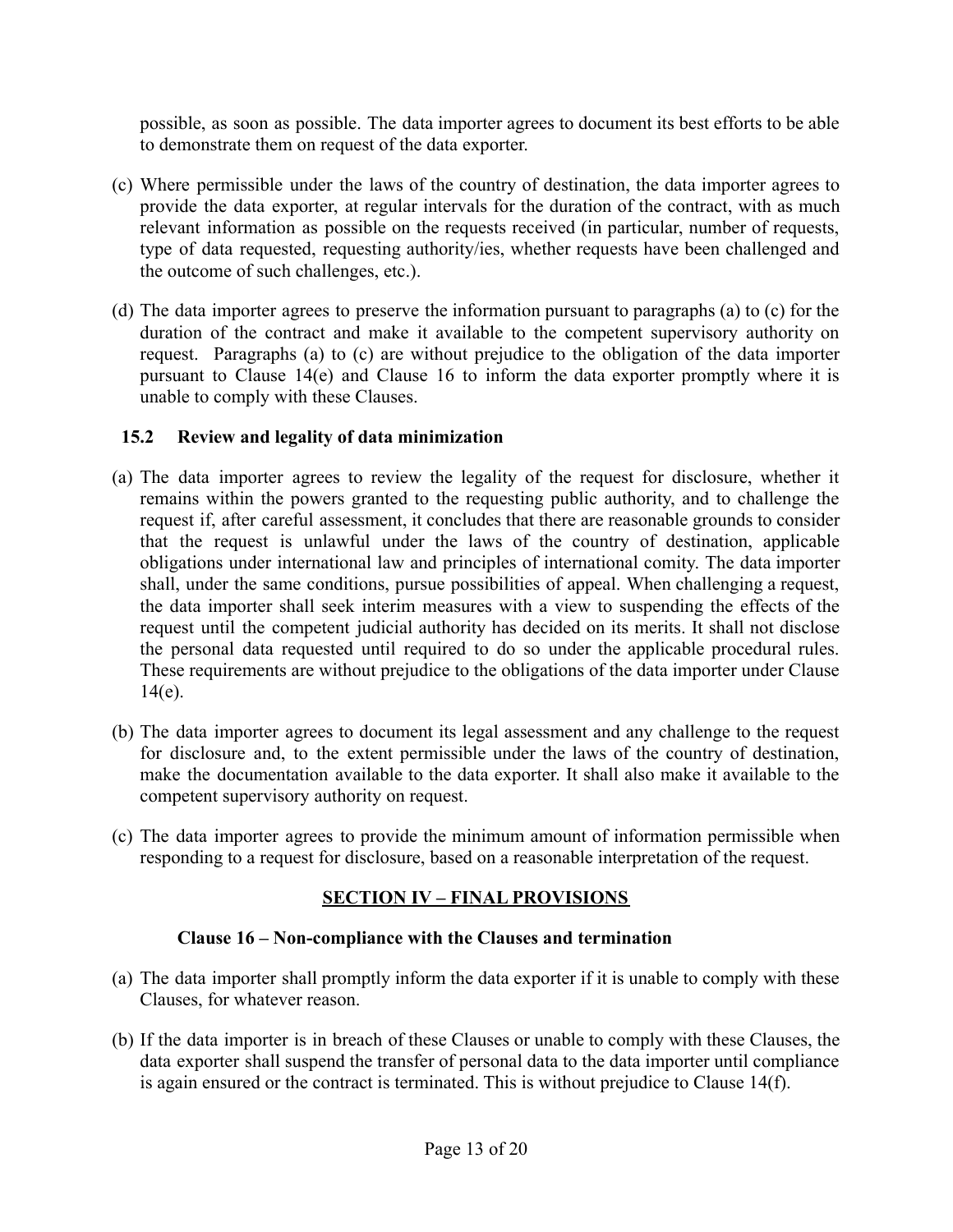possible, as soon as possible. The data importer agrees to document its best efforts to be able to demonstrate them on request of the data exporter.

- (c) Where permissible under the laws of the country of destination, the data importer agrees to provide the data exporter, at regular intervals for the duration of the contract, with as much relevant information as possible on the requests received (in particular, number of requests, type of data requested, requesting authority/ies, whether requests have been challenged and the outcome of such challenges, etc.).
- (d) The data importer agrees to preserve the information pursuant to paragraphs (a) to (c) for the duration of the contract and make it available to the competent supervisory authority on request. Paragraphs (a) to (c) are without prejudice to the obligation of the data importer pursuant to Clause 14(e) and Clause 16 to inform the data exporter promptly where it is unable to comply with these Clauses.

## **15.2 Review and legality of data minimization**

- (a) The data importer agrees to review the legality of the request for disclosure, whether it remains within the powers granted to the requesting public authority, and to challenge the request if, after careful assessment, it concludes that there are reasonable grounds to consider that the request is unlawful under the laws of the country of destination, applicable obligations under international law and principles of international comity. The data importer shall, under the same conditions, pursue possibilities of appeal. When challenging a request, the data importer shall seek interim measures with a view to suspending the effects of the request until the competent judicial authority has decided on its merits. It shall not disclose the personal data requested until required to do so under the applicable procedural rules. These requirements are without prejudice to the obligations of the data importer under Clause  $14(e)$ .
- (b) The data importer agrees to document its legal assessment and any challenge to the request for disclosure and, to the extent permissible under the laws of the country of destination, make the documentation available to the data exporter. It shall also make it available to the competent supervisory authority on request.
- (c) The data importer agrees to provide the minimum amount of information permissible when responding to a request for disclosure, based on a reasonable interpretation of the request.

# **SECTION IV – FINAL PROVISIONS**

### **Clause 16 – Non-compliance with the Clauses and termination**

- (a) The data importer shall promptly inform the data exporter if it is unable to comply with these Clauses, for whatever reason.
- (b) If the data importer is in breach of these Clauses or unable to comply with these Clauses, the data exporter shall suspend the transfer of personal data to the data importer until compliance is again ensured or the contract is terminated. This is without prejudice to Clause 14(f).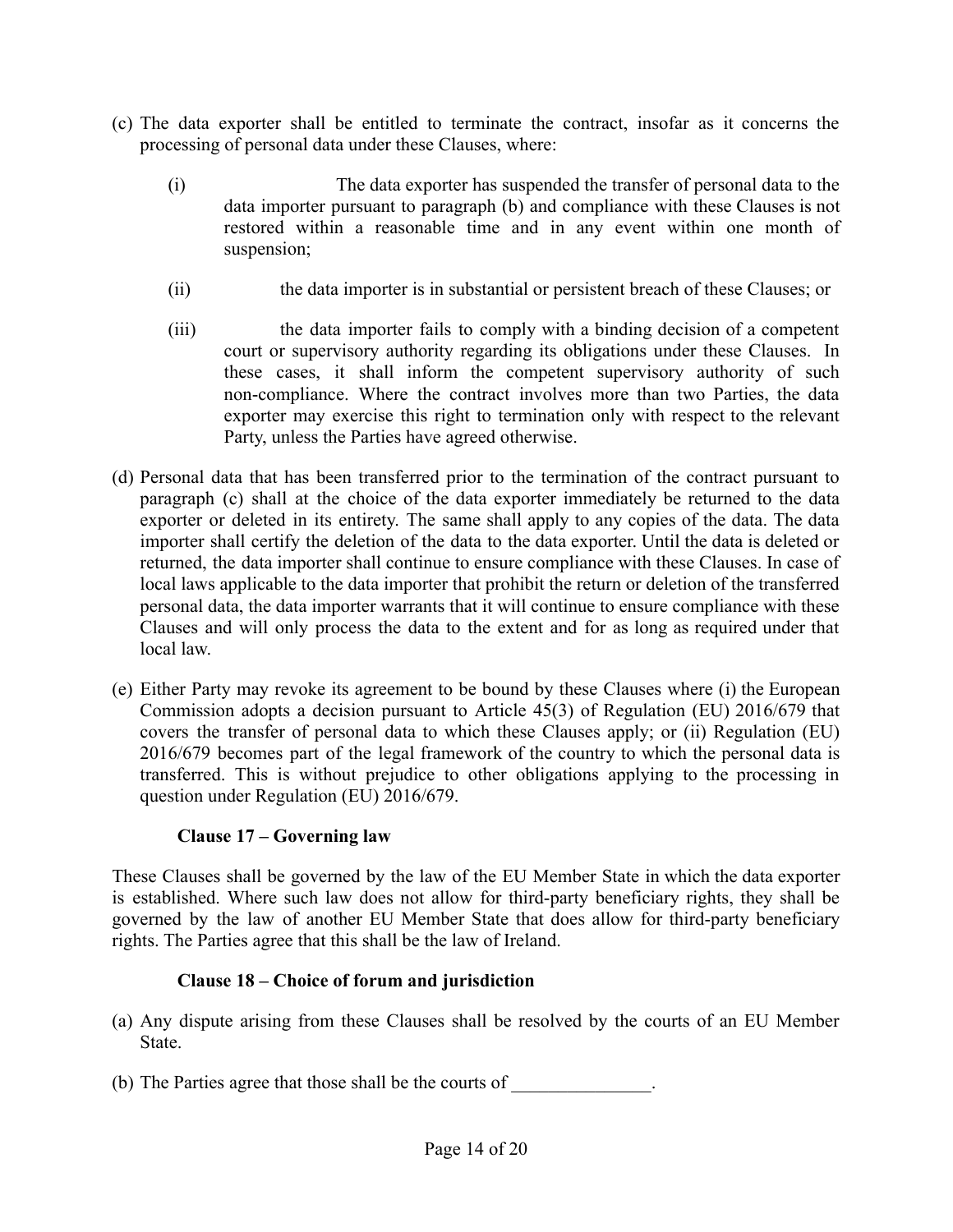- (c) The data exporter shall be entitled to terminate the contract, insofar as it concerns the processing of personal data under these Clauses, where:
	- (i) The data exporter has suspended the transfer of personal data to the data importer pursuant to paragraph (b) and compliance with these Clauses is not restored within a reasonable time and in any event within one month of suspension;
	- (ii) the data importer is in substantial or persistent breach of these Clauses; or
	- (iii) the data importer fails to comply with a binding decision of a competent court or supervisory authority regarding its obligations under these Clauses. In these cases, it shall inform the competent supervisory authority of such non-compliance. Where the contract involves more than two Parties, the data exporter may exercise this right to termination only with respect to the relevant Party, unless the Parties have agreed otherwise.
- (d) Personal data that has been transferred prior to the termination of the contract pursuant to paragraph (c) shall at the choice of the data exporter immediately be returned to the data exporter or deleted in its entirety. The same shall apply to any copies of the data. The data importer shall certify the deletion of the data to the data exporter. Until the data is deleted or returned, the data importer shall continue to ensure compliance with these Clauses. In case of local laws applicable to the data importer that prohibit the return or deletion of the transferred personal data, the data importer warrants that it will continue to ensure compliance with these Clauses and will only process the data to the extent and for as long as required under that local law.
- (e) Either Party may revoke its agreement to be bound by these Clauses where (i) the European Commission adopts a decision pursuant to Article 45(3) of Regulation (EU) 2016/679 that covers the transfer of personal data to which these Clauses apply; or (ii) Regulation (EU) 2016/679 becomes part of the legal framework of the country to which the personal data is transferred. This is without prejudice to other obligations applying to the processing in question under Regulation (EU) 2016/679.

### **Clause 17 – Governing law**

These Clauses shall be governed by the law of the EU Member State in which the data exporter is established. Where such law does not allow for third-party beneficiary rights, they shall be governed by the law of another EU Member State that does allow for third-party beneficiary rights. The Parties agree that this shall be the law of Ireland.

### **Clause 18 – Choice of forum and jurisdiction**

- (a) Any dispute arising from these Clauses shall be resolved by the courts of an EU Member State.
- (b) The Parties agree that those shall be the courts of \_\_\_\_\_\_\_\_\_\_\_\_\_\_\_.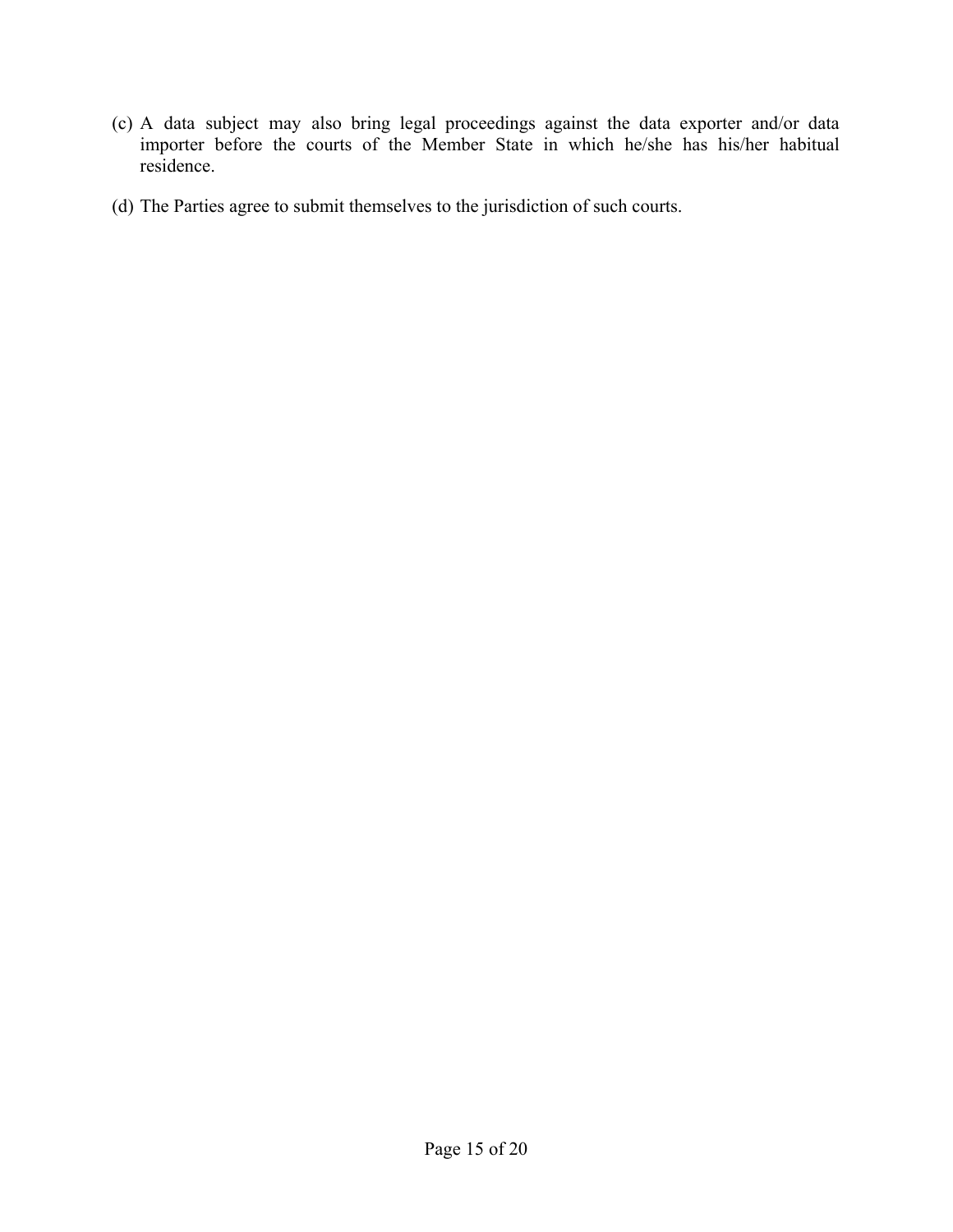- (c) A data subject may also bring legal proceedings against the data exporter and/or data importer before the courts of the Member State in which he/she has his/her habitual residence.
- (d) The Parties agree to submit themselves to the jurisdiction of such courts.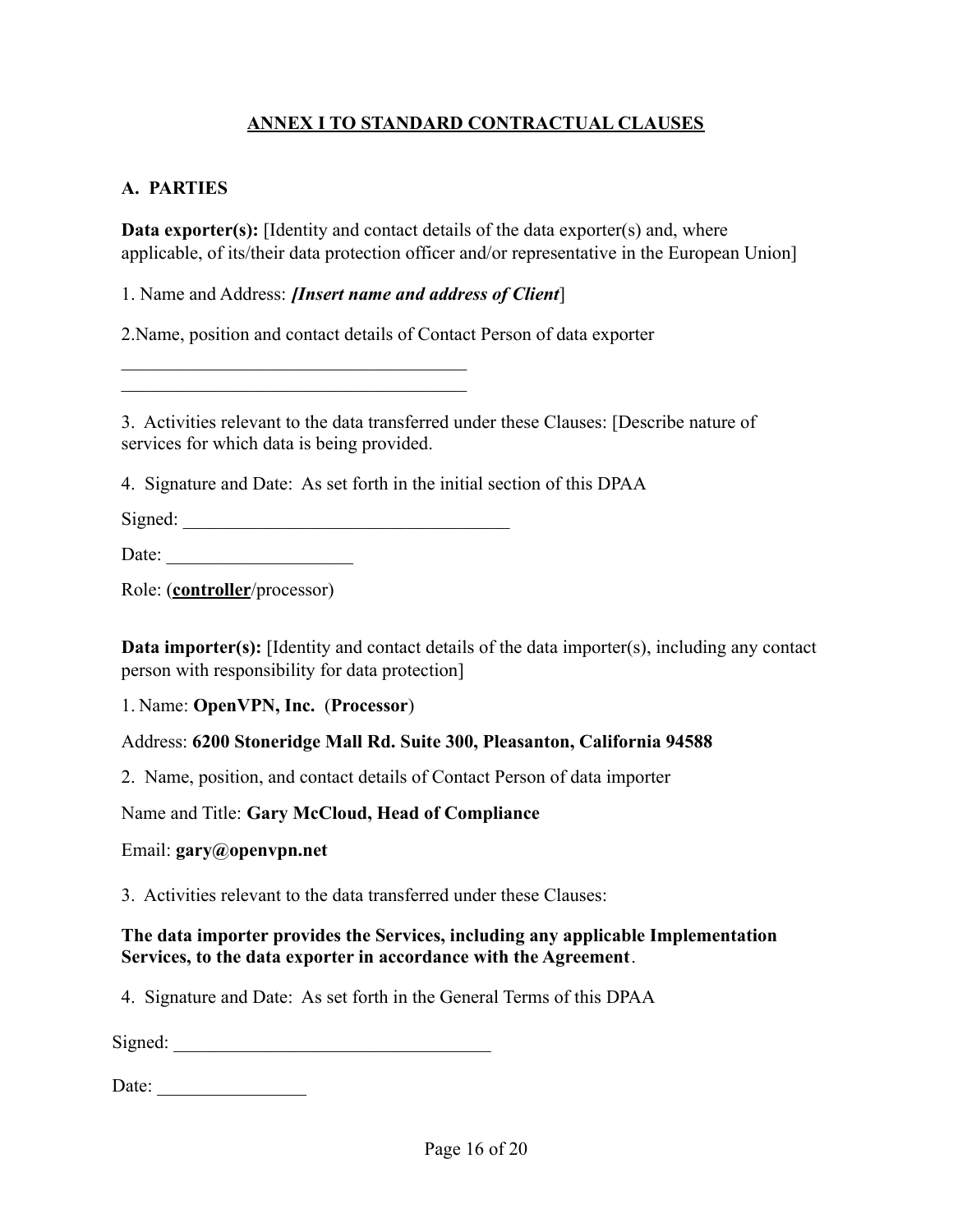# **ANNEX I TO STANDARD CONTRACTUAL CLAUSES**

## **A. PARTIES**

**Data exporter(s):** [Identity and contact details of the data exporter(s) and, where applicable, of its/their data protection officer and/or representative in the European Union]

1. Name and Address: *[Insert name and address of Client*]

2.Name, position and contact details of Contact Person of data exporter

3. Activities relevant to the data transferred under these Clauses: [Describe nature of services for which data is being provided.

4. Signature and Date: As set forth in the initial section of this DPAA

 $Signed:$ 

 $\mathcal{L}_\text{max}$  and  $\mathcal{L}_\text{max}$  and  $\mathcal{L}_\text{max}$  and  $\mathcal{L}_\text{max}$  $\mathcal{L}_\text{max}$  and  $\mathcal{L}_\text{max}$  and  $\mathcal{L}_\text{max}$  and  $\mathcal{L}_\text{max}$ 

Date:

Role: (**controller**/processor)

**Data importer(s):** [Identity and contact details of the data importer(s), including any contact person with responsibility for data protection]

1. Name: **OpenVPN, Inc.** (**Processor**)

Address: **6200 Stoneridge Mall Rd. Suite 300, Pleasanton, California 94588**

2. Name, position, and contact details of Contact Person of data importer

Name and Title: **Gary McCloud, Head of Compliance**

### Email: **gary@openvpn.net**

3. Activities relevant to the data transferred under these Clauses:

## **The data importer provides the Services, including any applicable Implementation Services, to the data exporter in accordance with the Agreement**.

4. Signature and Date: As set forth in the General Terms of this DPAA

Signed:

Date: \_\_\_\_\_\_\_\_\_\_\_\_\_\_\_\_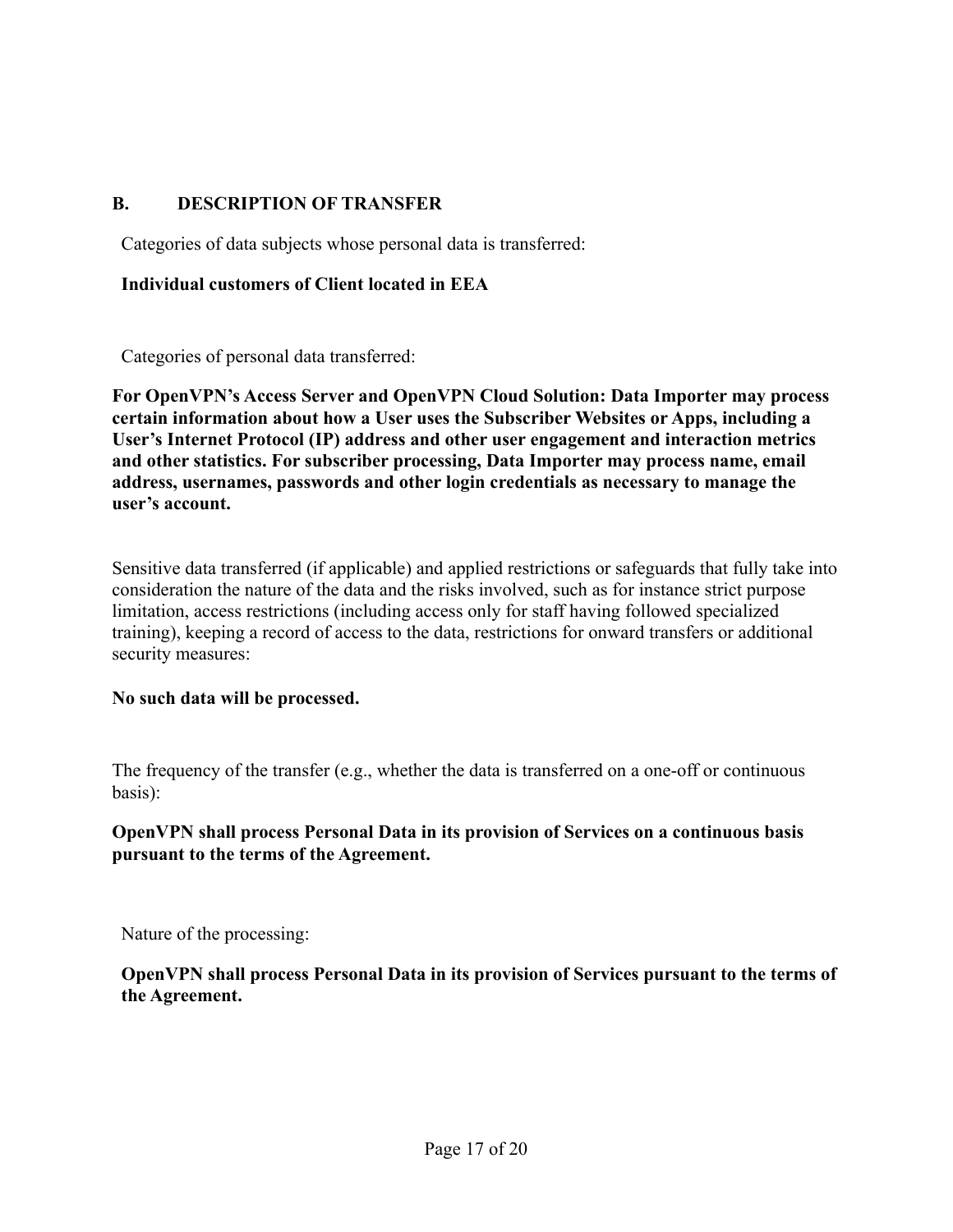## **B. DESCRIPTION OF TRANSFER**

Categories of data subjects whose personal data is transferred:

### **Individual customers of Client located in EEA**

Categories of personal data transferred:

**For OpenVPN's Access Server and OpenVPN Cloud Solution: Data Importer may process certain information about how a User uses the Subscriber Websites or Apps, including a User's Internet Protocol (IP) address and other user engagement and interaction metrics and other statistics. For subscriber processing, Data Importer may process name, email address, usernames, passwords and other login credentials as necessary to manage the user's account.**

Sensitive data transferred (if applicable) and applied restrictions or safeguards that fully take into consideration the nature of the data and the risks involved, such as for instance strict purpose limitation, access restrictions (including access only for staff having followed specialized training), keeping a record of access to the data, restrictions for onward transfers or additional security measures:

### **No such data will be processed.**

The frequency of the transfer (e.g., whether the data is transferred on a one-off or continuous basis):

### **OpenVPN shall process Personal Data in its provision of Services on a continuous basis pursuant to the terms of the Agreement.**

Nature of the processing:

### **OpenVPN shall process Personal Data in its provision of Services pursuant to the terms of the Agreement.**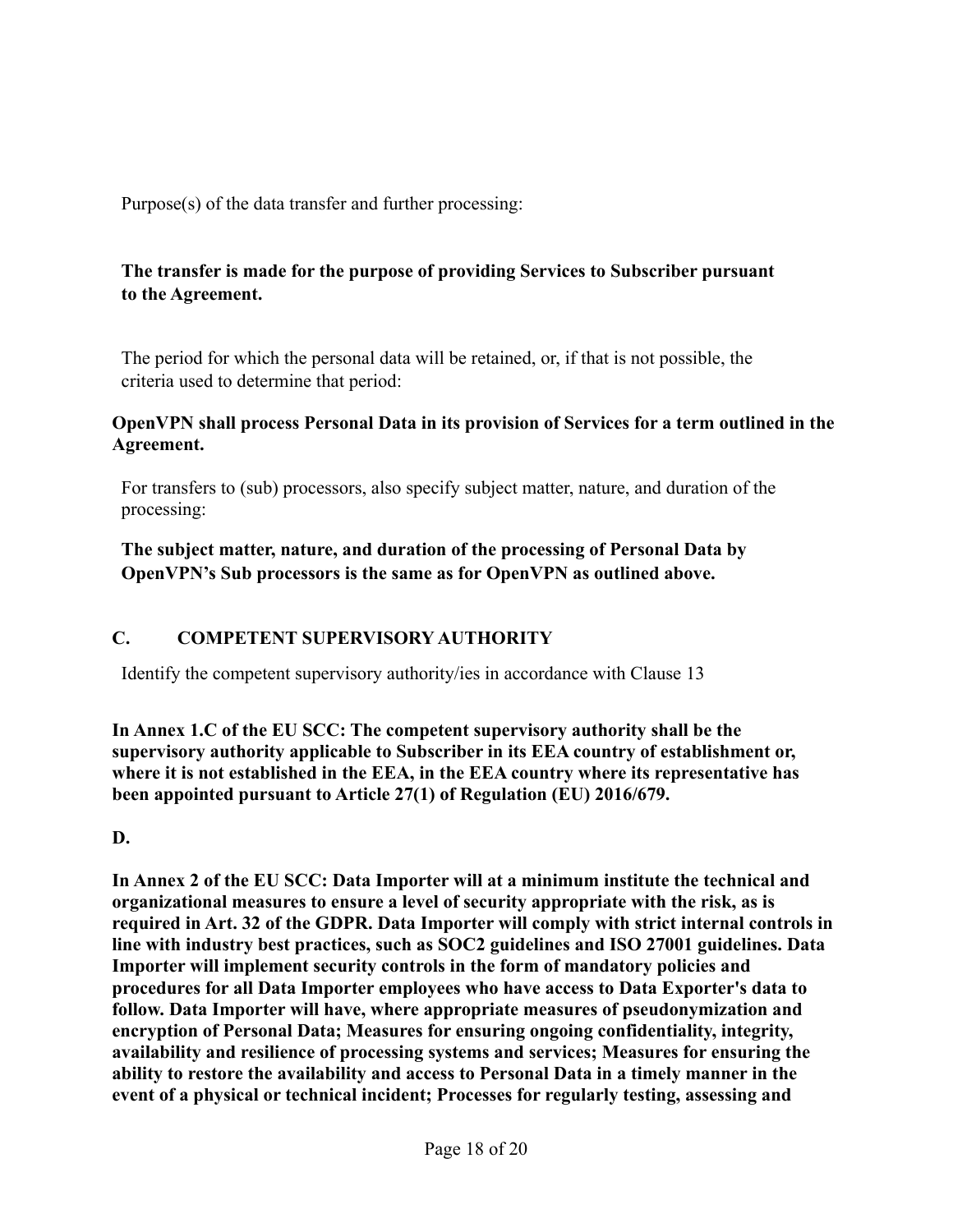Purpose(s) of the data transfer and further processing:

# **The transfer is made for the purpose of providing Services to Subscriber pursuant to the Agreement.**

The period for which the personal data will be retained, or, if that is not possible, the criteria used to determine that period:

### **OpenVPN shall process Personal Data in its provision of Services for a term outlined in the Agreement.**

For transfers to (sub) processors, also specify subject matter, nature, and duration of the processing:

**The subject matter, nature, and duration of the processing of Personal Data by OpenVPN's Sub processors is the same as for OpenVPN as outlined above.**

# **C. COMPETENT SUPERVISORY AUTHORITY**

Identify the competent supervisory authority/ies in accordance with Clause 13

**In Annex 1.C of the EU SCC: The competent supervisory authority shall be the supervisory authority applicable to Subscriber in its EEA country of establishment or, where it is not established in the EEA, in the EEA country where its representative has been appointed pursuant to Article 27(1) of Regulation (EU) 2016/679.**

### **D.**

**In Annex 2 of the EU SCC: Data Importer will at a minimum institute the technical and organizational measures to ensure a level of security appropriate with the risk, as is required in Art. 32 of the GDPR. Data Importer will comply with strict internal controls in line with industry best practices, such as SOC2 guidelines and ISO 27001 guidelines. Data Importer will implement security controls in the form of mandatory policies and procedures for all Data Importer employees who have access to Data Exporter's data to follow. Data Importer will have, where appropriate measures of pseudonymization and encryption of Personal Data; Measures for ensuring ongoing confidentiality, integrity, availability and resilience of processing systems and services; Measures for ensuring the ability to restore the availability and access to Personal Data in a timely manner in the event of a physical or technical incident; Processes for regularly testing, assessing and**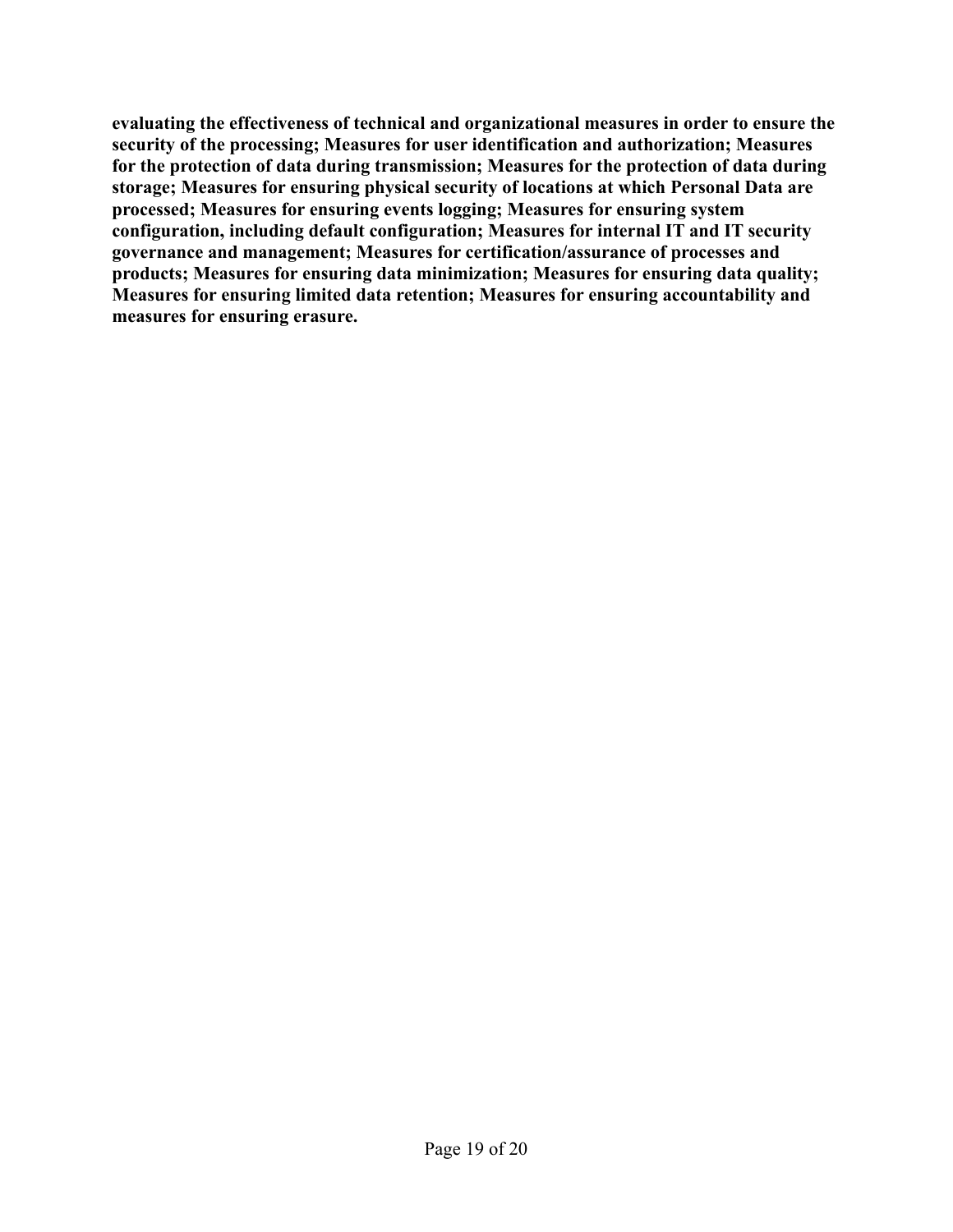**evaluating the effectiveness of technical and organizational measures in order to ensure the security of the processing; Measures for user identification and authorization; Measures for the protection of data during transmission; Measures for the protection of data during storage; Measures for ensuring physical security of locations at which Personal Data are processed; Measures for ensuring events logging; Measures for ensuring system configuration, including default configuration; Measures for internal IT and IT security governance and management; Measures for certification/assurance of processes and products; Measures for ensuring data minimization; Measures for ensuring data quality; Measures for ensuring limited data retention; Measures for ensuring accountability and measures for ensuring erasure.**